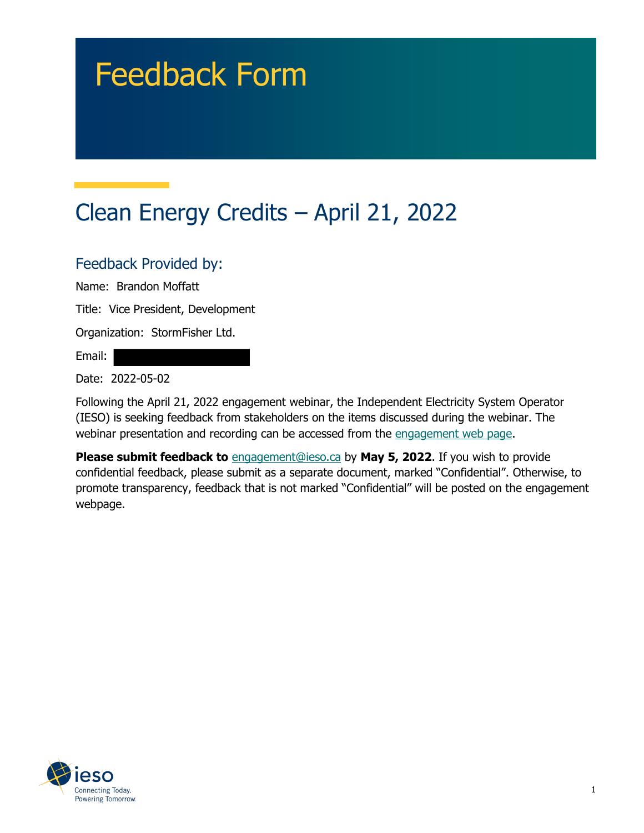# Feedback Form

# Clean Energy Credits – April 21, 2022

#### Feedback Provided by:

Name: Brandon Moffatt

Title: Vice President, Development

Organization: StormFisher Ltd.

Email:

Date: 2022-05-02

Following the April 21, 2022 engagement webinar, the Independent Electricity System Operator (IESO) is seeking feedback from stakeholders on the items discussed during the webinar. The webinar presentation and recording can be accessed from the [engagement web page.](https://www.ieso.ca/en/Sector-Participants/Engagement-Initiatives/Engagements/Clean-Energy-Credits)

**Please submit feedback to** [engagement@ieso.ca](mailto:engagement@ieso.ca) by **May 5, 2022**. If you wish to provide confidential feedback, please submit as a separate document, marked "Confidential". Otherwise, to promote transparency, feedback that is not marked "Confidential" will be posted on the engagement webpage.

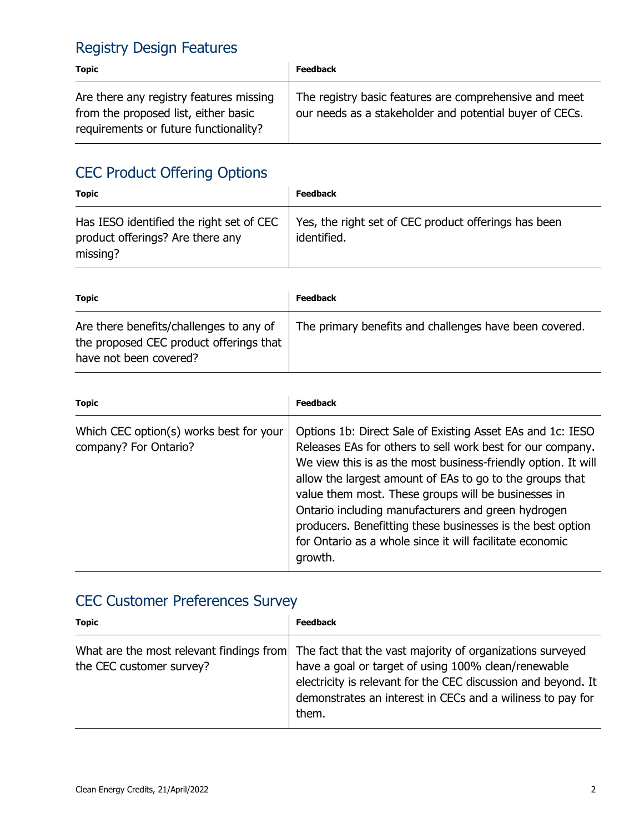## Registry Design Features

| <b>Topic</b>                                                                                                             | <b>Feedback</b>                                                                                                   |
|--------------------------------------------------------------------------------------------------------------------------|-------------------------------------------------------------------------------------------------------------------|
| Are there any registry features missing<br>from the proposed list, either basic<br>requirements or future functionality? | The registry basic features are comprehensive and meet<br>our needs as a stakeholder and potential buyer of CECs. |

## CEC Product Offering Options

| <b>Topic</b>                                                                             | <b>Feedback</b>                                                     |
|------------------------------------------------------------------------------------------|---------------------------------------------------------------------|
| Has IESO identified the right set of CEC<br>product offerings? Are there any<br>missing? | Yes, the right set of CEC product offerings has been<br>identified. |

| Topic                                                                                                        | <b>Feedback</b>                                        |
|--------------------------------------------------------------------------------------------------------------|--------------------------------------------------------|
| Are there benefits/challenges to any of<br>the proposed CEC product offerings that<br>have not been covered? | The primary benefits and challenges have been covered. |

| <b>Topic</b>                                                     | <b>Feedback</b>                                                                                                                                                                                                                                                                                                                                                                                                                                                                                         |
|------------------------------------------------------------------|---------------------------------------------------------------------------------------------------------------------------------------------------------------------------------------------------------------------------------------------------------------------------------------------------------------------------------------------------------------------------------------------------------------------------------------------------------------------------------------------------------|
| Which CEC option(s) works best for your<br>company? For Ontario? | Options 1b: Direct Sale of Existing Asset EAs and 1c: IESO<br>Releases EAs for others to sell work best for our company.<br>We view this is as the most business-friendly option. It will<br>allow the largest amount of EAs to go to the groups that<br>value them most. These groups will be businesses in<br>Ontario including manufacturers and green hydrogen<br>producers. Benefitting these businesses is the best option<br>for Ontario as a whole since it will facilitate economic<br>growth. |

## CEC Customer Preferences Survey

| <b>Topic</b>             | <b>Feedback</b>                                                                                                                                                                                                                                                                                   |
|--------------------------|---------------------------------------------------------------------------------------------------------------------------------------------------------------------------------------------------------------------------------------------------------------------------------------------------|
| the CEC customer survey? | What are the most relevant findings from The fact that the vast majority of organizations surveyed<br>have a goal or target of using 100% clean/renewable<br>electricity is relevant for the CEC discussion and beyond. It<br>demonstrates an interest in CECs and a willness to pay for<br>them. |